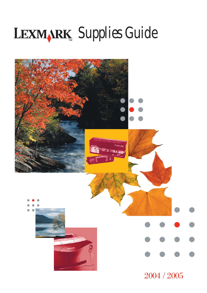# *Supplies Guide*

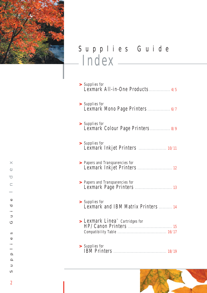

# Supplies Guide Index

| > Supplies for<br>Lexmark All-in-One Products 4/5                |
|------------------------------------------------------------------|
| > Supplies for<br>Lexmark Mono Page Printers  6/7                |
| > Supplies for<br>Lexmark Colour Page Printers 8/9               |
| > Supplies for<br>Lexmark Inkjet Printers  10/11                 |
| > Papers and Transparencies for                                  |
| > Papers and Transparencies for                                  |
| > Supplies for<br>Lexmark and IBM Matrix Printers  14            |
| $\blacktriangleright$ Lexmark Linea <sup>nd</sup> Cartridges for |
| > Supplies for                                                   |



 $\overline{2}$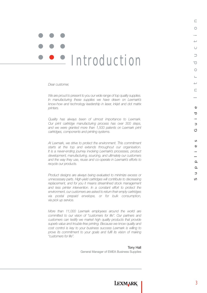# · Introduction

*Dear customer,*

*We are proud to present to you our wide range of top quality supplies. In manufacturing these supplies we have drawn on Lexmark's know-how and technology leadership in laser, inkjet and dot matrix printers.*

*Quality has always been of utmost importance to Lexmark. Our print cartridge manufacturing process has over 300 steps, and we were granted more than 1,500 patents on Lexmark print cartridges, components and printing systems.* 

*At Lexmark, we strive to protect the environment. This commitment starts at the top and extends throughout our organisation. It is a never-ending journey involving Lexmark's processes, product development, manufacturing, sourcing, and ultimately our customers and the way they use, reuse and co-operate in Lexmark's efforts to recycle our products.*

*Product designs are always being evaluated to minimize excess or unnecessary parts. High-yield cartridges will contribute to decreasing replacement, and for you it means streamlined stock management and less printer intervention. In a constant effort to protect the environment, our customers are asked to return their empty cartridges via postal prepaid envelope, or for bulk consumption, via pick up service.* 

*More than 11,000 Lexmark employees around the world are committed to our vision of "customers for life". Our partners and customers can testify we market high quality products that provide superb value and trouble-free printing. Because we know quality and cost control is key to your business success Lexmark is willing to prove its commitment to your goals and fulfil its vision of making "customers for life".*

Tony Hall

General Manager of EMEA Business Supplies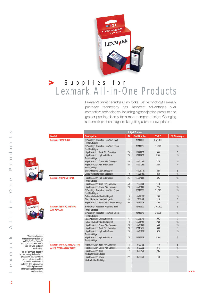

# Supplies for Lexmark All-in-One Products **>**

Lexmark's inkjet cartridges : no tricks, just technology! Lexmark printhead technology has important advantages over competitive technologies, including higher ejection pressure and greater packing density for a more compact design. Changing a Lexmark print cartridge is like getting a brand new printer !

**>>>**

|                                                                                       |                                              |                                                                     |    | <b>Inkjet Printers</b> |                  |                |
|---------------------------------------------------------------------------------------|----------------------------------------------|---------------------------------------------------------------------|----|------------------------|------------------|----------------|
|                                                                                       | <b>Model</b>                                 | <b>Description</b>                                                  | ID | <b>Part Number</b>     | Yield*           | % Coverage     |
|                                                                                       | <b>Lexmark F4270/ X4250</b>                  | 3 Pack High Resolution High Yield Black                             |    | 15M0100                | $3 \times 1,100$ | 5              |
|                                                                                       |                                              | <b>Print Cartridges</b>                                             |    |                        |                  |                |
|                                                                                       |                                              | 3 Pack High Resolution High Yield Colour                            |    | 15M0375                | 3 x 625          | 15             |
|                                                                                       |                                              | <b>Print Cartridges</b>                                             |    |                        |                  |                |
|                                                                                       |                                              | High Resolution Black Print Cartridge                               | 70 | 12A1970E               | 600              | $\overline{5}$ |
|                                                                                       |                                              | High Resolution High Yield Black<br><b>Print Cartridge</b>          | 75 | 12A1975E               | 1.100            | 15             |
|                                                                                       |                                              | High Resolution Colour Print Cartridge                              | 20 | 15M0120E               | 275              | 15             |
| <b>LEXMARK</b>                                                                        |                                              | High Resolution High Yield Colour<br><b>Print Cartridge</b>         | 25 | 15M0125E               | 625              | 15             |
|                                                                                       |                                              | Black Moderate Use Cartridge (1)                                    | 71 | 15M2971E               | 225              | $\overline{5}$ |
|                                                                                       |                                              | Colour Moderate Use Cartridge (1)                                   | 19 | 15M2619E               | 260              | 15             |
|                                                                                       | <b>Lexmark AIO P3150/ P3120</b>              | High Resolution High Yield Colour<br><b>Print Cartridge</b>         | 25 | 15M0125E               | 625              | 15             |
|                                                                                       |                                              | High Resolution Black Print Cartridge                               | 50 | 17G0050E               | 410              | 5              |
|                                                                                       |                                              | High Resolution Colour Print Cartridge                              | 20 | 15M0120E               | 275              | 15             |
|                                                                                       |                                              | 3 Pack High Resolution High Yield Colour                            |    | 15M0375                | 3 x 625          | 15             |
|                                                                                       |                                              | <b>Print Cartridges</b>                                             |    |                        |                  |                |
| LEXMARK                                                                               |                                              | Colour Moderate Use Cartridge (1)                                   | 19 | 15M2619E               | 260              | 15             |
|                                                                                       |                                              | Black Moderate Use Cartridge (1)                                    | 48 | 17G0648E               | 225              | 5              |
|                                                                                       |                                              | High Resolution Photo Colour Print Cartridge                        | 90 | 12A1990E               | 450              | 15             |
|                                                                                       | Lexmark X63/ X70/ X73/ X80/<br>X83/ X84/ X85 | 3 Pack High Resolution High Yield Black<br><b>Print Cartridges</b>  |    | 15M0100                | $3 \times 1,100$ | 5              |
|                                                                                       |                                              | 3 Pack High Resolution High Yield Colour<br><b>Print Cartridges</b> |    | 15M0375                | 3 x 625          | 15             |
|                                                                                       |                                              | Black Moderate Use Cartridge (1)                                    | 71 | 15M2971E               | 225              | 5              |
|                                                                                       |                                              | Colour Moderate Use Cartridge (1)                                   | 19 | 15M2619E               | 260              | 15             |
|                                                                                       |                                              | High Resolution Colour Print Cartridge                              | 20 | 15M0120E               | 450              | 15             |
|                                                                                       |                                              | High Resolution Black Print Cartridge                               | 70 | 12A1970E               | 600              | 5              |
|                                                                                       |                                              | High Resolution High Yield Colour<br><b>Print Cartridge</b>         | 25 | 15M0125E               | 625              | 15             |
| * Number of pages.<br>Yields may vary based on                                        |                                              | High Resolution High Yield Black                                    | 75 | 12A1975E               | 1,100            | 5              |
| factors such as machine                                                               |                                              | <b>Print Cartridge</b>                                              |    |                        |                  |                |
| model, media, print mode,<br>print file type and print                                | Lexmark X74/ X75/ X1130/ X1150/              | High Resolution Black Print Cartridge                               | 16 | 10N0016E               | 410              | $\overline{5}$ |
| applications.                                                                         | X1170/ X1180/ X2230/ X2250                   | High Resolution Colour Print Cartridge                              | 26 | 10N0026E               | 275              | 15             |
| (1) If the cartridge does not                                                         |                                              | <b>High Resolution Black</b>                                        | 17 | 10N0217E               | 205              | 5              |
| appear during its installation                                                        |                                              | Moderate Use Cartridge                                              |    |                        |                  |                |
| process on your computer<br>screen, please select the                                 |                                              | <b>High Resolution Colour</b>                                       | 27 | 10N0227E               | 140              | 15             |
| standard version of the                                                               |                                              | Moderate Use Cartridge                                              |    |                        |                  |                |
| cartridge. The printer driver<br>will not give correct<br>information about ink level |                                              |                                                                     |    |                        |                  |                |
| and warnings.                                                                         |                                              |                                                                     |    |                        |                  |                |

 $\circ$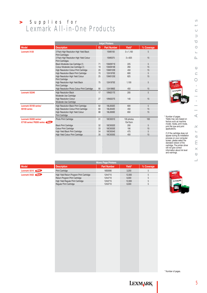# Supplies for Lexmark All-in-One Products **>**

|                                                         |                                                                     |     | <b>Inkjet Printers</b> |                       |            |
|---------------------------------------------------------|---------------------------------------------------------------------|-----|------------------------|-----------------------|------------|
| <b>Model</b>                                            | <b>Description</b>                                                  | ID. | <b>Part Number</b>     | Yield*                | % Coverage |
| <b>Lexmark X125</b>                                     | 3 Pack High Resolution High Yield Black<br><b>Print Cartridges</b>  |     | 15M0100                | $3 \times 1,100$      | 5          |
|                                                         | 3 Pack High Resolution High Yield Colour<br><b>Print Cartridges</b> |     | 15M0375                | 3 x 625               | 15         |
|                                                         | Black Moderate Use Cartridge (1)                                    | 71  | 15M2971E               | 225                   | 5          |
|                                                         | Colour Moderate Use Cartridge (1)                                   | 19  | 15M2619E               | 260                   | 15         |
|                                                         | High Resolution Colour Print Cartridge                              | 20  | 15M0120E               | 450                   | 15         |
|                                                         | High Resolution Black Print Cartridge                               | 70  | 12A1970E               | 600                   | 5          |
|                                                         | High Resolution High Yield Colour<br><b>Print Cartridge</b>         | 25  | 15M0125E               | 625                   | 15         |
|                                                         | High Resolution High Yield Black<br><b>Print Cartridge</b>          | 75  | 12A1975E               | 1,100                 | 5          |
|                                                         | High Resolution Photo Colour Print Cartridge                        | 90  | 12A1990E               | 450                   | 15         |
| Lexmark X2240                                           | <b>High Resolution Black</b><br>Moderate Use Cartridge              | 17  | 10N0217E               | 205                   | 5          |
|                                                         | <b>High Resolution Colour</b><br>Moderate Use Cartridge             | 27  | 10N0227E               | 140                   | 15         |
| Lexmark X5100 series/                                   | High Resolution Black Print Cartridge                               | 82  | 18L0032E               | 600                   | 5          |
| X6100 series                                            | High Resolution Colour Print Cartridge                              | 83  | 18L0042E               | 450                   | 15         |
|                                                         | High Resolution High Yield Colour<br><b>Print Cartridge</b>         | 88  | 18L0000E               | 650                   | 15         |
| Lexmark X5200 series/<br>X7100 series/ P6200 series New | Photo Print Cartridge                                               | 31  | 18C0031E               | 135 photos<br>10x15cm | 100        |
|                                                         | <b>Black Print Cartridge</b>                                        | 32  | 18C0032E               | 200                   | 5          |
|                                                         | <b>Colour Print Cartridge</b>                                       | 33  | 18C0033E               | 190                   | 15         |
|                                                         | High Yield Black Print Cartridge                                    | 34  | 18C0034E               | 475                   | 5          |
|                                                         | High Yield Colour Print Cartridge                                   | 35  | 18C0035E               | 450                   | 15         |
|                                                         |                                                                     |     |                        |                       |            |



\* Number of pages. Yields may vary based on factors such as machine model, media, print mode, print file type and print applications.

(1) If the cartridge does not<br>appear during its installation<br>process on your computer<br>screen, please select the<br>standard version of the<br>cartridge. The printer driver<br>will not give correct<br>information about ink level<br>and wa

 $\bowtie$  $\bigcirc$  $\Box$ 

 $\infty$  $\overline{\phantom{0}}$  $\cup$  $\Rightarrow$  $\overline{\phantom{0}}$  $\circ$  $\leftarrow$  $\sim$ 

> $\bigcirc$  $\Box$

|                         |                                           | <b>Mono Page Printers</b> |        |            |
|-------------------------|-------------------------------------------|---------------------------|--------|------------|
| <b>Model</b>            | <b>Description</b>                        | <b>Part Number</b>        | Yield* | % Coverage |
| Lexmark X215 New        | <b>Print Cartridge</b>                    | 18S0090                   | 3.200  |            |
| <b>Lexmark X422 New</b> | High Yield Return Program Print Cartridge | 12A4715                   | 12.000 |            |
|                         | Return Program Print Cartridge            | 12A4710                   | 6.000  |            |
|                         | High Yield Regular Print Cartridge        | 12A3715                   | 12.000 |            |
|                         | <b>Regular Print Cartridge</b>            | 12A3710                   | 6.000  |            |
|                         |                                           |                           |        |            |



\* Number of pages.

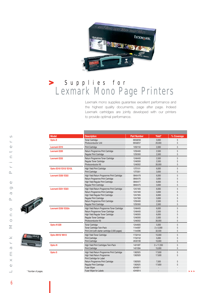

# Supplies for Lexmark Mono Page Printers **>**

Lexmark mono supplies guarantee excellent performance and the highest quality documents, page after page. Indeed Lexmark cartridges are jointly developed with our printers to provide optimal performance.

| <b>Model</b>            | <b>Description</b>                              | <b>Part Number</b> | Yield*           | % Coverage |
|-------------------------|-------------------------------------------------|--------------------|------------------|------------|
| Optra E                 | <b>Toner Cartridge</b>                          | 69G8256            | 3,000            | 5          |
|                         | Photoconductor Unit                             | 69G8257            | 20,000           | 5          |
| Lexmark E210            | <b>Print Cartridge</b>                          | 10S0150            | 2,000            | 5          |
| <b>Lexmark E220</b>     | Return Programme Print Cartridge                | 12S0400            | 2,500            | 5          |
|                         | Regular Print Cartridge                         | 12S0300            | 2,500            | 5          |
| <b>Lexmark E232</b>     | Return Programme Toner Cartridge                | 12A8400            | 2,500            | 5          |
|                         | Regular Toner Cartridge                         | 12A8300            | 2,500            | 5          |
|                         | Photoconductor Kit                              | 12A8302            | 30,000           | 5          |
| Optra E310/ E312/ E312L | High Yield Print Cartridge                      | 13T0101            | 6,000            | 5          |
|                         | <b>Print Cartridge</b>                          | 13T0301            | 3,000            | 5          |
| Lexmark E320/E322       | High Yield Return Programme Print Cartridge     | 08A0478            | 6,000            | 5          |
|                         | Return Programme Print Cartridge                | 08A0476            | 3,000            | 5          |
|                         | High Yield Regular Print Cartridge              | 08A0477            | 6,000            | 5          |
|                         | Regular Print Cartridge                         | 08A0475            | 3,000            | 5          |
| Lexmark E321/E323       | High Yield Return Programme Print Cartridge     | 12A7405            | 6,000            | 5          |
|                         | Return Programme Print Cartridge                | 12A7400            | 3,000            | 5          |
|                         | High Yield Regular Print Cartridge              | 12A7305            | 6,000            | 5          |
|                         | <b>Reqular Print Cartridge</b>                  | 12A7300            | 3,000            | 5          |
|                         | Return Programme Print Cartridge                | 12S0400            | 2,500            | 5          |
|                         | <b>Reqular Print Cartridge</b>                  | <b>12S0300</b>     | 2,500            | 5          |
| Lexmark E330/ E332n     | High Yield Return Programme Toner Cartridge     | 12A8405            | 6,000            | 5          |
|                         | Return Programme Toner Cartridge                | 12A8400            | 2,500            | 5          |
|                         | High Yield Regular Toner Cartridge              | 12A8305            | 6,000            | 5          |
|                         | Regular Toner Cartridge                         | 12A8300            | 2,500            | 5          |
|                         | Photoconductor Kit                              | 12A8302            | 30,000           | 5          |
| Optra K1220             | <b>Toner Cartridge</b>                          | 12A4605            | 5,000            | 5          |
|                         | Toner Cartridge Twin-Pack                       | 11A4097            | $2 \times 5,000$ | 5          |
|                         | Print Unit (with starter cartridge 2,500 pages) | 11A4096            | 32,500           | 5          |
| <b>Optra M410/M412</b>  | <b>High Yield Toner Cartridge</b>               | 17G0154            | 15,000           | 5          |
|                         | <b>Print Cartridge</b>                          | 17G0152            | 5,000            | 5          |
|                         | <b>Print Cartridge</b>                          | 4K00199            | 10,000           | 5          |
| <b>Optra N</b>          | High Yield Print Cartridges Twin-Pack           | 140109T            | 2 x 17,250       | 5          |
|                         | <b>Print Cartridge</b>                          | 140109A            | 15,000           | 5          |
| Optra S                 | High Yield Return Programme Print Cartridge     | 1382925            | 17,600           | 5          |
|                         | High Yield Return Programme                     | 1382929            | 17,600           | 5          |
|                         | Print Cartridge for Label                       |                    |                  |            |
|                         | Return Programme Print Cartridge                | 1382920            | 7,500            | 5          |
|                         | <b>Reqular Print Cartridge</b>                  | 1382625            | 17,600           | 5          |
|                         | <b>Fuser Wiper</b>                              | 43H0811            |                  |            |
|                         | <b>Fuser Wiper for Labels</b>                   | 43H0814            |                  |            |

 $\circ$ 



\* Number of pages.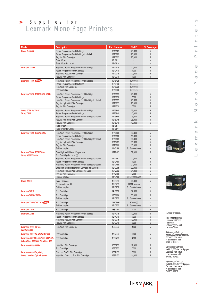# Supplies for Lexmark Mono Page Printers **>**

| <b>Model</b>                                                             | <b>Description</b>                                            | <b>Part Number</b> | Yield*            | % Coverage               |
|--------------------------------------------------------------------------|---------------------------------------------------------------|--------------------|-------------------|--------------------------|
| Optra Se 3455                                                            | Return Programme Print Cartridge                              | 12A0825            | 23,000            | 5                        |
|                                                                          | Return Programme Print Cartridge for Label                    | 12A0829            | 23,000            | 5                        |
|                                                                          | Regular Print Cartridge                                       | 12A0725            | 23,000            | 5                        |
|                                                                          | <b>Fuser Wiper</b>                                            | 43H0811            |                   |                          |
|                                                                          | <b>Fuser Wiper for Labels</b>                                 | 43H0814            |                   |                          |
| <b>Lexmark T420d</b>                                                     | High Yield Return Programme Print Cartridge                   | 12A7415            | 10,000            | 5                        |
|                                                                          | Return Programme Print Cartridge                              | 12A7410            | 5,000             | 5                        |
|                                                                          | High Yield Regular Print Cartridge                            | 12A7315            | 10,000            | 5                        |
|                                                                          | Regular Print Cartridge                                       | 12A7310            | 5,000             | 5                        |
| Lexmark T430 New                                                         | High Yield Return Programme Print Cartridge                   | 12A8425            | 12,000(3)         |                          |
|                                                                          | Return Programme Print Cartridge                              | 12A8420            | 6,000(2)          |                          |
|                                                                          | High Yield Print Cartridge                                    | 12A8325            | 12,000 (3)        |                          |
|                                                                          | <b>Print Cartridge</b>                                        | 12A8320            | 6,000(2)          |                          |
| Lexmark T520/ T522/ X520/ X522s                                          | High Yield Return Programme Print Cartridge                   | 12A6835            | 20,000            | 5                        |
|                                                                          | Return Programme Print Cartridge                              | 12A6830            | 7,500             | 5                        |
|                                                                          | High Yield Return Programme Print Cartridge for Label         | 12A6839            | 20,000            | 5                        |
|                                                                          | Regular High Yield Print Cartridge                            | 12A6735            | 20,000            | 5                        |
|                                                                          | Regular Print Cartridge                                       | 12A6730            | 7,500             | 5                        |
| Optra T/ T610/ T612/                                                     | High Yield Return Programme Print Cartridge                   | 12A5845            | 25,000            | 5                        |
| T614/T616                                                                | Return Programme Print Cartridge                              | 12A5840            | 10,000            | 5                        |
|                                                                          | High Yield Return Programme Print Cartridge for Label         | 12A5849            | 25,000            | 5                        |
|                                                                          | Regular High Yield Print Cartridge                            | 12A5745            | 25,000            | 5                        |
|                                                                          | Regular Print Cartridge                                       | 12A5740            | 10,000            | 5                        |
|                                                                          | <b>Fuser Wiper</b>                                            | 43H0811            |                   |                          |
|                                                                          | Fuser Wiper for Labels                                        | 43H0814            |                   |                          |
| Lexmark T620/ T622/ X620e                                                | High Yield Return Programme Print Cartridge                   | 12A6865            | 30,000            | 5                        |
|                                                                          | Return Programme Print Cartridge                              | 12A6860            | 10,000            | 5                        |
|                                                                          | High Yield Return Programme Print Cartridge for Label         | 12A6869            | 30,000            | 5                        |
|                                                                          | Regular High Yield Print Cartridge                            | 12A6765            | 30,000            | 5                        |
|                                                                          | Regular Print Cartridge                                       | 12A6760            | 10,000            | 5                        |
|                                                                          | <b>Finisher staples</b>                                       | 11K3188            | 3 x 3,000 staples |                          |
| Lexmark T630/ T632/ T634/                                                | Extra High Yield Return Programme                             | 12A7465            | 32,000            | 5                        |
| X630/ X632/ X632e                                                        | Print Cartridge for Label (1)                                 |                    |                   |                          |
|                                                                          | High Yield Return Programme Print Cartridge for Label         | 12A7462            | 21,000            | 5                        |
|                                                                          | Return Programme Print Cartridge                              | 12A7460            | 5,000             | 5                        |
|                                                                          | High Yield Return Programme Print Cartridge for Label         | 12A7468            | 21,000            | 5                        |
|                                                                          | Extra High Yield Regular Print Cartridge for Label (1)        | 12A7365            | 32,000            | 5                        |
|                                                                          | High Yield Regular Print Cartridge for Label                  | 12A7362            | 21,000            | 5                        |
|                                                                          | Regular Print Cartridge                                       | 12A7360            | 5,000             | 5                        |
|                                                                          | Finisher staples                                              | 11K3188            | 3 x 3,000 staples |                          |
| Optra W810                                                               | <b>Toner Cartridge</b>                                        | 12L0250            | 20,000            | 5                        |
|                                                                          | Photoconductor Kit                                            | 12L0251            | 90,000 simplex    |                          |
|                                                                          | <b>Finisher staples</b>                                       | 12L0252            | 3 x 5,000 staples | $\overline{\phantom{m}}$ |
| <b>Lexmark W812</b>                                                      | <b>Print Cartridge</b>                                        | 14K0050            | 12,000            | 5                        |
| Lexmark W820/X820e                                                       | <b>Print Cartridge</b>                                        | 12B0090            | 30,000            | 5                        |
|                                                                          | Finisher staples                                              | 12L0252            | 3 x 5,000 staples |                          |
| Lexmark X830e/ X832e New                                                 | <b>Print Cartridge</b>                                        | X8302KH            | 30,000 (4)        |                          |
|                                                                          | Finisher staples                                              | 12L0252            | 3 x 5,000 staples |                          |
| <b>Lexmark X215</b>                                                      | Print Cartridge                                               | 18S0090            | 3,200             | 5                        |
|                                                                          |                                                               |                    |                   |                          |
| <b>Lexmark X422</b>                                                      | High Yield Return Programme Print Cartridge                   | 12A4715            | 12,000            | 5                        |
|                                                                          | Return Programme Print Cartridge                              | 12A4710            | 6,000             | 5                        |
|                                                                          | High Yield Regular Print Cartridge<br>Regular Print Cartridge | 12A3715<br>12A3710 | 12,000<br>6,000   | 5<br>5                   |
|                                                                          |                                                               |                    |                   |                          |
| Lexmark 4019/28/29,<br><b>WinWriter 600</b>                              | High Yield Print Cartridge                                    | 1380520            | 9,500             | 5                        |
| Lexmark 4027-4W, WinWriter 200                                           | <b>Print Cartridge</b>                                        | 1427090            | 4,500             | 5                        |
| Lexmark 4037-5E, 4047-5E, 4047-5W,<br>ValueWriter 300/600, WinWriter 400 | Print Cartridge                                               | 1382760            | 3,500             | 5                        |
| Lexmark 4039, 4039+                                                      | <b>High Yield Print Cartridge</b>                             | 1380950            | 12,800            | 5                        |
|                                                                          | <b>Print Cartridge</b>                                        | 1380850            | 7,000             | 5                        |
| Lexmark 4039 10+, 4049,                                                  | Diamond Fine <sup>™</sup> Print Cartridge                     | 1382100            | 7,000             | 5                        |
| Optra L series, Optra R series                                           | High Yield Diamond Fine Print Cartridge                       | 1382150            | 14,000            | 5                        |
|                                                                          |                                                               |                    |                   |                          |
|                                                                          |                                                               |                    |                   |                          |







\* Number of pages.

(1) Compatible with Lexmark T632 and T634 only. Not compatible with Lexmark T630.

(2) Average Cartridge Yield 6,000 standard pages. Declared yield value in accordance with ISO/IEC 19752.

(3) Average Cartridge Yield 12,000 standard pages. Declared yield value in accordance with ISO/IEC 19752.

(4) Average Cartridge Yield 30,000 standard pages. Declared yield value in accordance with ISO/IEC 19752.

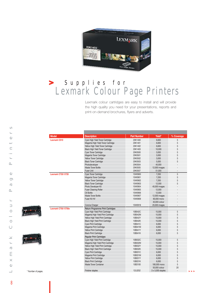

# Supplies for Lexmark Colour Page Printers **>**

Lexmark colour cartridges are easy to install and will provide the high quality you need for your presentations, reports and print-on-demand brochures, flyers and adverts.

|                  | <b>Model</b>       | <b>Description</b>                      | <b>Part Number</b> | Yield*            | % Coverage |
|------------------|--------------------|-----------------------------------------|--------------------|-------------------|------------|
|                  | Lexmark C510       | Cyan High Yield Toner Cartridge         | 20K1400            | 6,600             | 5          |
|                  |                    | Magenta High Yield Toner Cartridge      | 20K1401            | 6,600             | 5          |
|                  |                    | Yellow High Yield Toner Cartridge       | 20K1402            | 6,600             | 5          |
|                  |                    | <b>Black High Yield Toner Cartridge</b> | 20K1403            | 10,000            | 5          |
|                  |                    | Cyan Toner Cartridge                    | 20K0500            | 3,000             | 5          |
|                  |                    | Magenta Toner Cartridge                 | 20K0501            | 3,000             | 5          |
|                  |                    | Yellow Toner Cartridge                  | 20K0502            | 3,000             | 5          |
|                  |                    | <b>Black Toner Cartridge</b>            | 20K0503            | 5,000             | 5          |
|                  |                    | Photodeveloper                          | 20K0504            | 40,000            |            |
|                  |                    | <b>Waste Toner Bottle</b>               | 20K0505            | 12,000 images     |            |
|                  |                    | <b>Fuser Unit</b>                       | 20K0507            | 51,000            |            |
|                  | Lexmark C720/X720  | Cyan Toner Cartridge                    | 15W0900            | 7,200             | 5          |
|                  |                    | Magenta Toner Cartridge                 | 15W0901            | 7,200             | 5          |
|                  |                    | Yellow Toner Cartridge                  | 15W0902            | 7,200             | 5          |
|                  |                    | <b>Black Toner Cartridge</b>            | 15W0903            | 12,000            | 5          |
|                  |                    | Photo Developer Kit                     | 15W0904            | 40,000 images     |            |
|                  |                    | <b>Fuser Cleaning Roller</b>            | 15W0905            | 12,000            |            |
|                  |                    | Oil Bottle                              | 15W0906            | 12,000            |            |
|                  |                    | <b>Waste Toner Bottle</b>               | 15W0907            | 12,000 images     |            |
|                  |                    | Fuser Kit HV                            | 15W0909            | 60,000 mono       |            |
|                  |                    |                                         |                    | 40,000 colour     |            |
|                  |                    | Corona Charger                          | 15W0918            | 20,000 images     |            |
|                  | Lexmark C750/X750e | Return Programme Print Cartridges       |                    |                   |            |
|                  |                    | Cyan High Yield Print Cartridge         | 10B042C            | 15,000            | 5          |
|                  |                    | Magenta High Yield Print Cartridge      | 10B042M            | 15,000            | 5          |
|                  |                    | Yellow High Yield Print Cartridge       | 10B042Y            | 15,000            | 5          |
|                  |                    | <b>Black High Yield Print Cartridge</b> | 10B042K            | 15,000            | 5          |
|                  |                    | Cyan Print Cartridge                    | 10B041C            | 6,000             | 5          |
|                  |                    | Magenta Print Cartridge                 | 10B041M            | 6,000             | 5          |
|                  |                    | <b>Yellow Print Cartridge</b>           | 10B041Y            | 6,000             | 5          |
|                  |                    | <b>Black Print Cartridge</b>            | 10B041K            | 6,000             | 5          |
|                  |                    | <b>Regular Print Cartridges</b>         |                    |                   |            |
|                  |                    | Cyan High Yield Print Cartridge         | 10B032C            | 15,000            | 5          |
|                  |                    | Magenta High Yield Print Cartridge      | 10B032M            | 15,000            | 5          |
|                  |                    | Yellow High Yield Print Cartridge       | 10B032Y            | 15,000            | 5          |
|                  |                    | <b>Black High Yield Print Cartridge</b> | 10B032K            | 15,000            | 5          |
|                  |                    | <b>Cyan Print Cartridge</b>             | 10B031C            | 6,000             | 5          |
|                  |                    | Magenta Print Cartridge                 | 10B031M            | 6,000             | 5          |
|                  |                    | <b>Yellow Print Cartridge</b>           | 10B031Y            | 6,000             | 5          |
|                  |                    | <b>Black Print Cartridge</b>            | 10B031K            | 6,000             | 5          |
|                  |                    | <b>Waste Toner Container</b>            | 10B3100            | 180,000 mono      | 5          |
|                  |                    |                                         |                    | 50,000 colour     | 20         |
| Number of pages. |                    | Finisher staples                        | 12L0252            | 3 x 5,000 staples | ÷.         |

 $\infty$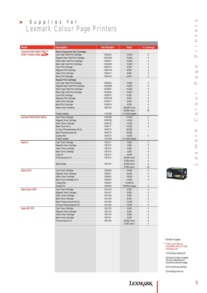# Supplies for Lexmark Colour Page Printers **>**

|                                                 |                                         |                    |                   | % Coverage               |
|-------------------------------------------------|-----------------------------------------|--------------------|-------------------|--------------------------|
| <b>Model</b>                                    | <b>Description</b>                      | <b>Part Number</b> | Yield*            |                          |
| Lexmark C752/ C762/ C752L**/                    | Return Programme Print Cartridges       |                    |                   |                          |
| C760**/ X752e/ X762e New                        | Cyan High Yield Print Cartridge         | 15G042C            | 15,000            | 5                        |
|                                                 | Magenta High Yield Print Cartridge      | 15G042M            | 15,000            | 5                        |
|                                                 | Yellow High Yield Print Cartridge       | 15G042Y            | 15,000            | 5                        |
|                                                 | <b>Black High Yield Print Cartridge</b> | 15G042K            | 15,000            | 5                        |
|                                                 | Cyan Print Cartridge                    | 15G041C            | 6,000             | 5                        |
|                                                 | Magenta Print Cartridge                 | 15G041M            | 6,000             | 5                        |
|                                                 | <b>Yellow Print Cartridge</b>           | 15G041Y            | 6,000             | 5                        |
|                                                 | <b>Black Print Cartridge</b>            | 15G041K            | 6,000             | 5                        |
|                                                 | <b>Regular Print Cartridges</b>         |                    |                   |                          |
|                                                 | Cyan High Yield Print Cartridge         | 15G032C            | 15,000            | 5                        |
|                                                 | Magenta High Yield Print Cartridge      | 15G032M            | 15,000            | 5                        |
|                                                 | Yellow High Yield Print Cartridge       | 15G032Y            | 15,000            | 5                        |
|                                                 | <b>Black High Yield Print Cartridge</b> | 15G032K            | 15,000            | 5                        |
|                                                 | Cyan Print Cartridge                    | 15G031C            | 6,000             | 5                        |
|                                                 | Magenta Print Cartridge                 | 15G031M            | 6,000             | 5                        |
|                                                 | <b>Yellow Print Cartridge</b>           | 15G031Y            | 6,000             | 5                        |
|                                                 | <b>Black Print Cartridge</b>            | 15G031K            | 6,000             | 5                        |
|                                                 | <b>Waste Toner Container</b>            | 10B3100            | 180,000 mono      | 5                        |
|                                                 |                                         |                    | 50,000 colour     | 20                       |
|                                                 | Finisher staples                        | 11K3188            | 3 x 3,000 staples | $\overline{\phantom{a}}$ |
| Lexmark C910/ C912/ X912e                       |                                         |                    |                   | 5                        |
|                                                 | Cyan Toner Cartridge                    | 12N0768            | 14,000            |                          |
|                                                 | Magenta Toner Cartridge                 | 12N0769            | 14,000            | 5                        |
|                                                 | Yellow Toner Cartridge                  | 12N0770            | 14,000            | 5                        |
|                                                 | Black Toner Kit (1)                     | 12N0771            | 14,000            | 5                        |
|                                                 | 3 Colour Photodeveloper Kit (2)         | 12N0772            | 28,000            |                          |
|                                                 | Black Photodeveloper (2)                | 12N0773            | 28,000            |                          |
|                                                 | <b>Coating Roll</b>                     | 12N0774            | 14,000            | 5                        |
|                                                 | Finisher staples                        | 11K3188            | 3 x 3,000 staples | Ĭ.                       |
| Optra C                                         | Cyan Toner Cartridge                    | 1361211            | 4,000             | 5                        |
|                                                 | Magenta Toner Cartridge                 | 1361212            | 4,000             | 5                        |
|                                                 | <b>Yellow Toner Cartridge</b>           | 1361213            | 4,000             | 5                        |
|                                                 | <b>Black Toner Cartridge</b>            | 1361210            | 4,000             | 5                        |
|                                                 | <b>Fuser Oil</b>                        | 1361214            | 10,000            | 5                        |
|                                                 | Photoconductor kit                      | 1361215            | 25,000 mono       | 5                        |
|                                                 |                                         |                    | 5,000 colour      | 5                        |
|                                                 | <b>Waste Bottle</b>                     | 1361216            | 20,000 mono       | 5                        |
|                                                 |                                         |                    | 5,000 colour      | 20                       |
|                                                 | Cyan Toner Cartridge                    | 10E0040            | 10,000            | 5                        |
|                                                 | Magenta Toner Cartridge                 | 10E0041            | 10,000            | 5                        |
|                                                 | Yellow Toner Cartridge                  | 10E0042            | 10,000            | 5                        |
| Optra C710<br>Optra Color 1200<br>Optra SC 1275 | Black Toner Cartridge kit (1)           | 10E0043            | 10,000            | 5                        |
|                                                 | <b>Coating Roll</b>                     | 10E0044            | 15,000(3)         |                          |
|                                                 | <b>Transfer Kit</b>                     | 10E0045            | 100,000 images    | 5                        |
|                                                 |                                         | 12A1452            |                   | 5                        |
|                                                 | Cyan Toner Cartridge                    |                    | 6,500             | 5                        |
|                                                 | Magenta Toner Cartridge                 | 12A1451            | 6,500             |                          |
|                                                 | Yellow Toner Cartridge                  | 12A1453            | 6,500             | 5                        |
|                                                 | <b>Black Toner Cartridge</b>            | 12A1454            | 6,500             | $\sqrt{5}$               |
|                                                 | Black Photoconductor Kit (4)            | 12A1450            | 13,000            | 5                        |
|                                                 | 3 Colour Photoconductor Kit             | 12A1455            | 13,000            | 5                        |
|                                                 | Cyan Toner Cartridge                    | 1361752            | 3,500             | 5                        |
|                                                 | Magenta Toner Cartridge                 | 1361753            | 3,500             | 5                        |
|                                                 | Yellow Toner Cartridge                  | 1361754            | 3,500             | 5                        |
|                                                 | <b>Black Toner Cartridge</b>            | 1361751            | 4,500             | 5                        |
|                                                 | Photoconductor kit                      | 1361750            | 20,000 mono       | 5                        |
|                                                 |                                         |                    | 5,000 colour      | 5                        |
|                                                 |                                         |                    |                   |                          |
|                                                 |                                         |                    |                   |                          |
|                                                 |                                         |                    |                   |                          |
|                                                 |                                         |                    |                   |                          |
|                                                 |                                         |                    |                   |                          |
|                                                 |                                         |                    |                   |                          |
|                                                 |                                         |                    |                   |                          |
|                                                 |                                         |                    |                   |                          |
|                                                 |                                         |                    |                   |                          |
|                                                 |                                         |                    |                   |                          |
|                                                 |                                         |                    |                   |                          |
|                                                 |                                         |                    |                   |                          |





\* Number of pages.

\*\* C752L and C760 are compatible with Low Yield cartridges only.

(1) Including coating roll.

(2) Actual number of pages will vary, depending on individual customer usage.

(3) At continuous printing.

(4) Including fuser roll.

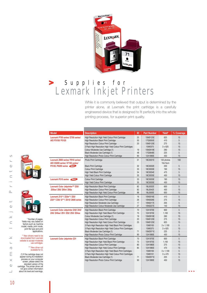

# Supplies for Lexmark Inkjet Printers **>**

While it is commonly believed that output is determined by the printer alone, at Lexmark the print cartridge is a carefully engineered device that is designed to fit perfectly into the whole printing process, for superior print quality.

| <b>Model</b>                                                        | <b>Description</b>                                        | ID | <b>Part Number</b> | Yield*                | % Coverage |
|---------------------------------------------------------------------|-----------------------------------------------------------|----|--------------------|-----------------------|------------|
| Lexmark P700 series/ Z700 series/                                   | High Resolution High Yield Colour Print Cartridge         | 25 | 15M0125E           | 625                   | 15         |
| AIO P3150/ P3120                                                    | <b>High Resolution Black Print Cartridge</b>              | 50 | 17G0050E           | 410                   | 5          |
|                                                                     | <b>High Resolution Colour Print Cartridge</b>             | 20 | 15M0120E           | 275                   | 15         |
|                                                                     | 3 Pack High Resolution High Yield Colour Print Cartridges |    | 15M0375            | 3 x 625               | 15         |
|                                                                     | Colour Moderate Use Cartridge (1)                         | 19 | 15M2619E           | 260                   | 15         |
|                                                                     | Black Moderate Use Cartridge (1)                          | 48 | 17G0648E           | 225                   | 5          |
|                                                                     | High Resolution Photo Colour Print Cartridge              | 90 | 12A1990E           | 450                   | 15         |
| Lexmark Z800 series/ P910 series/<br>AIO X5200 series/X7100 series/ | Photo Print Cartridge                                     | 31 | 18C0031E           | 135 photos<br>10x15cm | 100        |
| <b>P3120, P6200 series New</b>                                      | <b>Black Print Cartridge</b>                              | 32 | 18C0032E           | 200                   | 5          |
|                                                                     | <b>Colour Print Cartridge</b>                             | 33 | 18C0033E           | 190                   | 15         |
|                                                                     | High Yield Black Print Cartridge                          | 34 | 18C0034E           | 475                   | 5          |
|                                                                     | High Yield Colour Print Cartridge                         | 35 | 18C0035E           | 450                   | 15         |
| Lexmark P310 series New                                             | <b>Colour Print Cartridge</b>                             | 33 | 18C0033E           | 190                   | 15         |
|                                                                     | High Yield Colour Print Cartridge                         | 35 | 18C0035E           | 450                   | 15         |
| Lexmark Color Jetprinter™ Z55/                                      | <b>High Resolution Black Print Cartridge</b>              | 82 | 18L0032E           | 600                   | 5          |
| Z55se/ Z65/ Z65n/ Z65p                                              | <b>High Resolution Colour Print Cartridge</b>             | 83 | 18L0042E           | 450                   | 15         |
|                                                                     | High Resolution High Yield Colour Print Cartridge         | 88 | 18L0000E           | 650                   | 15         |
| Lexmark Z13**/ Z23e**/ Z25/                                         | <b>High Resolution Black Print Cartridge</b>              | 16 | 10N0016E           | 410                   | 5          |
| Z33**/ Z35/ i3***/ Z515/ Z600 series                                | <b>High Resolution Colour Print Cartridge</b>             | 26 | 10N0026E           | 275                   | 15         |
|                                                                     | High Resolution Moderate Use Cartridge                    | 17 | 10N0217E           | 205                   | 5          |
|                                                                     | High Resolution Colour Moderate Use Cartridge             | 27 | 10N0227E           | 140                   | 15         |
| Lexmark Color Jetprinter Z42/ Z43/                                  | <b>High Resolution Black Print Cartridge</b>              | 70 | 12A1970E           | 600                   | 5          |
| Z45/ Z45se/ Z51/ Z52/ Z53/ Z54se                                    | High Resolution High Yield Black Print Cartridge          | 75 | 12A1975E           | 1,100                 | 15         |
|                                                                     | Colour Moderate Use Cartridge (1)                         | 19 | 15M2619E           | 260                   | 15         |
|                                                                     | <b>High Resolution Colour Print Cartridge</b>             | 20 | 15M0120E           | 275                   | 15         |
|                                                                     | High Resolution High Yield Colour Print Cartridge         | 25 | 15M0125E           | 625                   | 15         |
|                                                                     | 3 Pack High Resolution High Yield Black Print Cartridges  |    | 15M0100            | $3 \times 1,100$      | 5          |
|                                                                     | 3 Pack High Resolution High Yield Colour Print Cartridges |    | 15M0375            | 3 x 625               | 15         |
|                                                                     | Black Moderate Use Cartridge (1)                          | 71 | 15M2971E           | 225                   | 5          |
|                                                                     | High Resolution Photo Colour Print Cartridge              | 90 | 12A1990E           | 450                   | 15         |
| <b>Lexmark Color Jetprinter Z31</b>                                 | <b>High Resolution Black Print Cartridge</b>              | 70 | 12A1970E           | 600                   | 5          |
|                                                                     | High Resolution High Yield Black Print Cartridge          | 75 | 12A1975E           | 1,100                 | 15         |
|                                                                     | High Resolution Colour Print Cartridge                    | 80 | 12A1980E           | 275                   | 15         |
|                                                                     | High Resolution High Yield Colour Print Cartridge         | 85 | 12A1985E           | 470                   | 15         |
|                                                                     | 3 Pack High Resolution High Yield Black Print Cartridges  |    | 15M0100            | $3 \times 1,100$      | 5          |
|                                                                     | 3 Pack High Resolution High Yield Colour Print Cartridges |    | 15M0101            | $3 \times 470$        | 15         |
|                                                                     | Black Moderate Use Cartridge (1)                          | 71 | 15M2971E           | 225                   | 5          |
|                                                                     | High Resolution Photo Colour Print Cartridge              | 90 | 12A1990E           | 450                   | 15         |
|                                                                     |                                                           |    |                    |                       |            |
|                                                                     |                                                           |    |                    |                       |            |

Lexmark Inkjet Printers

 $\geq$  $\longleftarrow$  $\overline{\mathbb{C}}$  $\equiv$  $\bowtie$  $\bigcirc$  $\Box$ 

 $\overline{\phantom{0}}$  $\bigcirc$  $\overline{\phantom{a}}$  $\overline{\phantom{1}}$  $\equiv$  $\overline{\phantom{a}}$ 

 $\circ$  $\leftarrow$  $\bigcirc$  $\sim$  $\equiv$  $\overline{\phantom{0}}$  $\longleftarrow$  $\sim$ 



\* Number of pages. Yields may vary based on factors such as machi model, media, print mode, print file type and print application

\*\* New drivers need to be downloaded from Lexmark website to accept moderate use cartridge

\*\*\* New driver not available for i3.

 $(1)$  If the cartridge does not appear during its installation process on your computer screen, please select the standard version of the cartridge. The printer driver v not give correct information about ink level and warnings.

10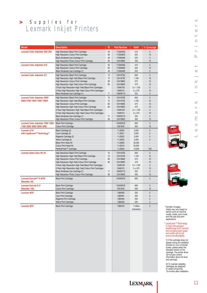# Supplies for Lexmark Inkjet Printers **>**

| <b>Model</b>                                                    | <b>Description</b>                                            | ID | <b>Part Number</b> | Yield*           | % Coverage     |
|-----------------------------------------------------------------|---------------------------------------------------------------|----|--------------------|------------------|----------------|
| Lexmark Color Jetprinter Z22/ Z32                               | <b>High Resolution Black Print Cartridge</b>                  | 50 | 17G0050E           | 410              | 5              |
|                                                                 | <b>High Resolution Colour Print Cartridge</b>                 | 60 | 17G0060E           | 225              | 15             |
|                                                                 | Black Moderate Use Cartridge (1)                              | 48 | 17G0648E           | 225              | 5              |
|                                                                 | High Resolution Photo Colour Print Cartridge                  | 90 | 12A1990E           | 450              | 15             |
| <b>Lexmark Color Jetprinter Z12</b>                             | <b>High Resolution Black Print Cartridge</b>                  | 50 | 17G0050E           | 410              | 5              |
|                                                                 | <b>High Resolution Colour Print Cartridge</b>                 | 60 | 17G0060E           | 225              | 15             |
|                                                                 | Black Moderate Use Cartridge (1)                              | 48 | 17G0648E           | 225              | 5              |
| <b>Lexmark Color Jetprinter Z11</b>                             | <b>High Resolution Black Print Cartridge</b>                  | 70 | 12A1970E           | 600              | 5              |
|                                                                 | High Resolution High Yield Black Print Cartridge              | 75 | 12A1975E           | 1.100            | 15             |
|                                                                 | <b>High Resolution Colour Print Cartridge</b>                 | 80 | 12A1980E           | 275              | 15             |
|                                                                 | High Resolution High Yield Colour Print Cartridge             | 85 | 12A1985E           | 470              | 15             |
|                                                                 | 3 Pack High Resolution High Yield Black Print Cartridges      |    | 15M0100            | $3 \times 1.100$ | 5              |
|                                                                 | 3 Pack High Resolution High Yield Colour Print Cartridges     |    | 15M0101            | $3 \times 470$   | 15             |
|                                                                 | Black Moderate Use Cartridge (1)                              | 71 | 15M2971E           | 225              | 5              |
| Lexmark Color Jetprinter 3200/                                  | <b>High Resolution Black Print Cartridge</b>                  | 70 | 12A1970E           | 600              | $\overline{5}$ |
| 5000/ 5700/ 7000/ 7200/ 7200V                                   | High Resolution High Yield Black Print Cartridge              | 75 | 12A1975E           | 1,100            | 15             |
|                                                                 | <b>High Resolution Colour Print Cartridge</b>                 | 80 | 12A1980E           | 275              | 15             |
|                                                                 | High Resolution High Yield Colour Print Cartridge             | 85 | 12A1985E           | 470              | 15             |
|                                                                 | 3 Pack High Resolution High Yield Black Print Cartridges      |    | 15M0100            | $3 \times 1,100$ | 5              |
|                                                                 | 3 Pack High Resolution High Yield Colour Print Cartridges     |    | 15M0101            | $3 \times 470$   | 15             |
|                                                                 | Black Moderate Use Cartridge (1)                              | 71 | 15M2971E           | 225              | 5              |
|                                                                 | High Resolution Photo Colour Print Cartridge                  | 90 | 12A1990E           | 450              | 15             |
|                                                                 |                                                               |    | 13400HCE           | 600              | 5              |
| Lexmark Color Jetprinter 1000/1020/<br>1100/2030/2050/2055/3000 | <b>Black Print Cartridge</b><br><b>Colour Print Cartridge</b> |    | 13619HC            | 300              | 15             |
|                                                                 |                                                               |    |                    |                  |                |
| <b>Lexmark J110</b>                                             | <b>Black Cartridge (2)</b>                                    |    | 11J3020            | 3,000            | 5              |
| with LiquidLaser™ Technology**                                  | Cyan Cartridge (2)                                            |    | 11J3021            | 3,000            | 5              |
|                                                                 | Magenta Cartridge (2)                                         |    | 11J3022            | 3.000            | 5              |
|                                                                 | Yellow Cartridge (2)                                          |    | 11J3023            | 3,000            | 5              |
|                                                                 | <b>Black Print Head Kit</b>                                   |    | 11J3000            | 30,000           |                |
|                                                                 | Colour Print Head Kit                                         |    | 11J3010            | 30,000           |                |
|                                                                 | PerfectFinish <sup>™</sup> Cartridge                          |    | 11J3050            | 10.000           | 100            |
| Lexmark Optra Color 40/45                                       | <b>High Resolution Black Print Cartridge</b>                  | 70 | 12A1970E           | 600              | 5              |
|                                                                 | High Resolution High Yield Black Print Cartridge              | 75 | 12A1975E           | 1,100            | 15             |
|                                                                 | <b>High Resolution Colour Print Cartridge</b>                 | 80 | 12A1980E           | 275              | 15             |
|                                                                 | High Resolution High Yield Colour Print Cartridge             | 85 | 12A1985E           | 470              | 15             |
|                                                                 | 3 Pack High Resolution High Yield Black Print Cartridges      |    | 15M0100            | $3 \times 1,100$ | 5              |
|                                                                 | 3 Pack High Resolution High Yield Colour Print Cartridges     |    | 15M0101            | $3 \times 470$   | 15             |
|                                                                 | Black Moderate Use Cartridge (1)                              | 71 | 15M2971E           | 225              | 5              |
|                                                                 | High Resolution Photo Colour Print Cartridge                  | 90 | 12A1990E           | 450              | 15             |
| Lexmark ExecJet™ II 4076/<br><b>Winwriter 100</b>               | <b>Black Print Cartridge</b>                                  |    | 13400HCE           | 600              | 5              |
| <b>Lexmark ExecJet II C/</b>                                    | <b>Black Print Cartridge</b>                                  |    | 13400HCE           | 600              | 5              |
| <b>Winwriter 150c</b>                                           | <b>Colour Print Cartridge</b>                                 |    | 13619HC            | 300              | 15             |
| Lexmark 4079                                                    | <b>Black Print Cartridge</b>                                  |    | 1380490            | 205              | 5              |
|                                                                 | Cyan Print Cartridge                                          |    | 1380491            | 205              | 5              |
|                                                                 | Magenta Print Cartridge                                       |    | 1380492            | 205              | 5              |
|                                                                 | Yellow Print Cartridge                                        |    | 1380493            | 205              | 5              |
| <b>Lexmark 4072</b>                                             | <b>Black Print Cartridge</b>                                  |    | 1380479            | 1 million        | 5              |
|                                                                 |                                                               |    |                    | characters       |                |
|                                                                 |                                                               |    |                    |                  |                |
|                                                                 |                                                               |    |                    |                  |                |
|                                                                 |                                                               |    |                    |                  |                |



 $\circ$  $\leftarrow$  $\mathbb U$  $\overline{\phantom{0}}$  $\equiv$ 

 $\leftarrow$ 

 $\bigcirc$ 

 $\equiv$ 

 $\longleftarrow$  $\overline{\mathcal{C}}$  $\Xi$ 

 $\mathbb{R}^2$  $\mathord{\subset}$ 





\* Number of pages. Yields may vary based on factors such as machine model, media, print mode, print file type and print applications.

\*\* LiquidLaser™ Technology. A major technological breakthrough from Lexmark that combines laser speed and quality with ink jet colour and affordability.

(1) If the cartridge does not appear during its installation process on your computer screen, please select the standard version of the cartridge. The printer driver will not give correct information about ink level and warnings.

(2) To maintain reliability, cartridges are designed to cease functioning 13-months after installation.

**LEXMARK** 

11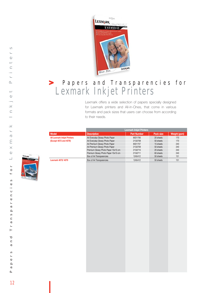

# Papers and Transparencies for Lexmark Inkjet Printers **>**

Lexmark offers a wide selection of papers specially designed for Lexmark printers and All-in-Ones, that come in various formats and pack sizes that users can choose from according to their needs.

| <b>Model</b><br><b>Description</b><br><b>Part Number</b><br>Pack size<br><b>All Lexmark Inkjet Printers</b><br>A4 Everyday Glossy Photo Paper<br>80D1706<br>20 sheets<br>170<br>(Except 4072 and 4079)<br>A4 Everyday Glossy Photo Paper<br>21G0708<br>170<br>50 sheets<br>A4 Premium Glossy Photo Paper<br>240<br>80D1707<br>15 sheets<br>A4 Premium Glossy Photo Paper<br>21G0709<br>50 sheets<br>240<br>Premium Glossy Photo Paper 10x15 cm<br>21G0710<br>20 sheets<br>240<br>Premium Glossy Photo Paper 10x15 cm<br>21G0711<br>60 sheets<br>240<br>Box of A4 Transparencies<br>12A5412<br>50 sheets<br>151<br>12A5412<br>Lexmark 4072/4079<br>Box of A4 Transparencies<br>50 sheets<br>151 |  | <b>Lexmark Inkjet Printers</b> |                     |
|------------------------------------------------------------------------------------------------------------------------------------------------------------------------------------------------------------------------------------------------------------------------------------------------------------------------------------------------------------------------------------------------------------------------------------------------------------------------------------------------------------------------------------------------------------------------------------------------------------------------------------------------------------------------------------------------|--|--------------------------------|---------------------|
|                                                                                                                                                                                                                                                                                                                                                                                                                                                                                                                                                                                                                                                                                                |  |                                | <b>Weight (gsm)</b> |
|                                                                                                                                                                                                                                                                                                                                                                                                                                                                                                                                                                                                                                                                                                |  |                                |                     |
|                                                                                                                                                                                                                                                                                                                                                                                                                                                                                                                                                                                                                                                                                                |  |                                |                     |
|                                                                                                                                                                                                                                                                                                                                                                                                                                                                                                                                                                                                                                                                                                |  |                                |                     |
|                                                                                                                                                                                                                                                                                                                                                                                                                                                                                                                                                                                                                                                                                                |  |                                |                     |
|                                                                                                                                                                                                                                                                                                                                                                                                                                                                                                                                                                                                                                                                                                |  |                                |                     |
|                                                                                                                                                                                                                                                                                                                                                                                                                                                                                                                                                                                                                                                                                                |  |                                |                     |
|                                                                                                                                                                                                                                                                                                                                                                                                                                                                                                                                                                                                                                                                                                |  |                                |                     |
|                                                                                                                                                                                                                                                                                                                                                                                                                                                                                                                                                                                                                                                                                                |  |                                |                     |
|                                                                                                                                                                                                                                                                                                                                                                                                                                                                                                                                                                                                                                                                                                |  |                                |                     |
|                                                                                                                                                                                                                                                                                                                                                                                                                                                                                                                                                                                                                                                                                                |  |                                |                     |
|                                                                                                                                                                                                                                                                                                                                                                                                                                                                                                                                                                                                                                                                                                |  |                                |                     |
|                                                                                                                                                                                                                                                                                                                                                                                                                                                                                                                                                                                                                                                                                                |  |                                |                     |
|                                                                                                                                                                                                                                                                                                                                                                                                                                                                                                                                                                                                                                                                                                |  |                                |                     |
|                                                                                                                                                                                                                                                                                                                                                                                                                                                                                                                                                                                                                                                                                                |  |                                |                     |
|                                                                                                                                                                                                                                                                                                                                                                                                                                                                                                                                                                                                                                                                                                |  |                                |                     |
|                                                                                                                                                                                                                                                                                                                                                                                                                                                                                                                                                                                                                                                                                                |  |                                |                     |
|                                                                                                                                                                                                                                                                                                                                                                                                                                                                                                                                                                                                                                                                                                |  |                                |                     |
|                                                                                                                                                                                                                                                                                                                                                                                                                                                                                                                                                                                                                                                                                                |  |                                |                     |
|                                                                                                                                                                                                                                                                                                                                                                                                                                                                                                                                                                                                                                                                                                |  |                                |                     |
|                                                                                                                                                                                                                                                                                                                                                                                                                                                                                                                                                                                                                                                                                                |  |                                |                     |
|                                                                                                                                                                                                                                                                                                                                                                                                                                                                                                                                                                                                                                                                                                |  |                                |                     |
|                                                                                                                                                                                                                                                                                                                                                                                                                                                                                                                                                                                                                                                                                                |  |                                |                     |
|                                                                                                                                                                                                                                                                                                                                                                                                                                                                                                                                                                                                                                                                                                |  |                                |                     |
|                                                                                                                                                                                                                                                                                                                                                                                                                                                                                                                                                                                                                                                                                                |  |                                |                     |
|                                                                                                                                                                                                                                                                                                                                                                                                                                                                                                                                                                                                                                                                                                |  |                                |                     |
|                                                                                                                                                                                                                                                                                                                                                                                                                                                                                                                                                                                                                                                                                                |  |                                |                     |
|                                                                                                                                                                                                                                                                                                                                                                                                                                                                                                                                                                                                                                                                                                |  |                                |                     |
|                                                                                                                                                                                                                                                                                                                                                                                                                                                                                                                                                                                                                                                                                                |  |                                |                     |
|                                                                                                                                                                                                                                                                                                                                                                                                                                                                                                                                                                                                                                                                                                |  |                                |                     |
|                                                                                                                                                                                                                                                                                                                                                                                                                                                                                                                                                                                                                                                                                                |  |                                |                     |
|                                                                                                                                                                                                                                                                                                                                                                                                                                                                                                                                                                                                                                                                                                |  |                                |                     |
|                                                                                                                                                                                                                                                                                                                                                                                                                                                                                                                                                                                                                                                                                                |  |                                |                     |
|                                                                                                                                                                                                                                                                                                                                                                                                                                                                                                                                                                                                                                                                                                |  |                                |                     |
|                                                                                                                                                                                                                                                                                                                                                                                                                                                                                                                                                                                                                                                                                                |  |                                |                     |

**LEXMARK** 

**WEBSTON**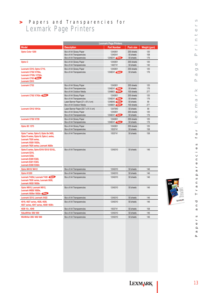# Papers and Transparencies for Lexmark Page Printers **>**

|                                                                                                                                                                          | <b>Lexmark Page Printers</b>        |                    |            |              |  |  |
|--------------------------------------------------------------------------------------------------------------------------------------------------------------------------|-------------------------------------|--------------------|------------|--------------|--|--|
| <b>Model</b>                                                                                                                                                             | <b>Description</b>                  | <b>Part Number</b> | Pack size  | Weight (gsm) |  |  |
| Optra Color 1200                                                                                                                                                         | Box of A4 Glossy Paper              | 12A5951            | 200 sheets | 120          |  |  |
|                                                                                                                                                                          | Box of A4 Transparencies            | 12A0541            | 50 sheets  | 108          |  |  |
|                                                                                                                                                                          | Box of A4 Transparencies            | 12A8241 New        | 50 sheets  | 176          |  |  |
| Optra C                                                                                                                                                                  | Box of A4 Glossy Paper              | 12A5951            | 200 sheets | 120          |  |  |
|                                                                                                                                                                          | Box of A4 Transparencies            | 1402741            | 50 sheets  | 140          |  |  |
| Lexmark C510, Optra C710,                                                                                                                                                | Box of A4 Glossy Paper              | 12A5951            | 200 sheets | 120          |  |  |
| Lexmark C750/X750e,                                                                                                                                                      | Box of A4 Transparencies            | 12A8241 New        | 50 sheets  | 176          |  |  |
| Lexmark C752L/X752e.<br><b>Lexmark C760 New</b>                                                                                                                          |                                     |                    |            |              |  |  |
| <b>Lexmark C910</b>                                                                                                                                                      |                                     |                    |            |              |  |  |
| <b>Lexmark C752</b>                                                                                                                                                      | Box of A4 Glossy Paper              | 12A5951            | 200 sheets | 120          |  |  |
|                                                                                                                                                                          | Box of A4 Transparencies            | 12A8241 New        | 50 sheets  | 176          |  |  |
|                                                                                                                                                                          | Box of A4 Outdoor Media             | 12A8601 New        | 100 sheets | 277          |  |  |
| Lexmark C762/X762e                                                                                                                                                       | Box of A4 Glossy Paper              | 12A5951            | 200 sheets | 120          |  |  |
|                                                                                                                                                                          | Box of A4 Transparencies            | 12A8241 New        | 50 sheets  | 176          |  |  |
|                                                                                                                                                                          | Laser Banner Paper (21 x 91,4 cm)   | 12A8940 New        | 50 sheets  | 90           |  |  |
|                                                                                                                                                                          | Box of A4 Outdoor Media             | 12A8601 New        | 100 sheets | 277          |  |  |
| Lexmark C912/X912e                                                                                                                                                       | Laser Banner Paper (29.7 x 91.4 cm) | 12A7940            | 50 sheets  | 90           |  |  |
|                                                                                                                                                                          | Box of A4 Glossy Paper              | 12A5951            | 200 sheets | 120          |  |  |
|                                                                                                                                                                          | Box of A4 Transparencies            | 12A8241 New        | 50 sheets  | 176          |  |  |
| Lexmark C720/X720                                                                                                                                                        | Box of A4 Glossy Paper              | 12A5951            | 200 sheets | 120          |  |  |
|                                                                                                                                                                          | Box of A4 Transparencies            | 12A8241 New        | 50 sheets  | 176          |  |  |
| Optra SC 1275                                                                                                                                                            | Box of A4 Glossy Paper              | 12A5951            | 200 sheets | 120          |  |  |
|                                                                                                                                                                          | Box of A4 Transparencies            | 1053741            | 50 sheets  | 158          |  |  |
| Optra T series, Optra S, Optra Se 3455,<br>Optra R series, Optra N, Optra L series,<br>Lexmark T52X series,<br>Lexmark X520/X522s,<br>Lexmark T62X series, Lexmark X620e | Box of A4 Transparencies            | 1053741            | 50 sheets  | 158          |  |  |
| Optra E series, Optra E310/ E312/ E312L,<br>Lexmark E210.<br>Lexmark E232,<br>Lexmark E320/E322,<br>Lexmark E321/ E323,<br>Lexmark E330/E332n                            | Box of A4 Transparencies            | 12A5010            | 50 sheets  | 146          |  |  |
| <b>Optra M410/M412</b>                                                                                                                                                   | Box of A4 Transparencies            | 12A5010            | 50 sheets  | 146          |  |  |
| Optra K1220                                                                                                                                                              | Box of A4 Transparencies            | 12A5010            | 50 sheets  | 146          |  |  |
| Lexmark T420d, Lexmark T430 New<br>Lexmark T63X series, Lexmark X630,<br>Lexmark X632/X632e                                                                              | Box of A4 Transparencies            | 12A5010            | 50 sheets  | 146          |  |  |
| Optra W810, Lexmark W812,<br>Lexmark W820/X820e,<br>Lexmark X830e/X832e New                                                                                              | Box of A4 Transparencies            | 12A5010            | 50 sheets  | 146          |  |  |
| Lexmark X215, Lexmark X422                                                                                                                                               | Box of A4 Transparencies            | 12A5010            | 50 sheets  | 146          |  |  |
| 4019, 4027 series, 4028, 4029,<br>4037 series, 4047 series, 4039/ 4039+                                                                                                  | Box of A4 Transparencies            | 12A5010            | 50 sheets  | 146          |  |  |
| 4039 10+, 4049                                                                                                                                                           | Box of A4 Transparencies            | 1053741            | 50 sheets  | 158          |  |  |
| ValueWriter 300/600                                                                                                                                                      | Box of A4 Transparencies            | 12A5010            | 50 sheets  | 146          |  |  |
| WinWriter 200/400/600                                                                                                                                                    | Box of A4 Transparencies            | 12A5010            | 50 sheets  | 146          |  |  |
|                                                                                                                                                                          |                                     |                    |            |              |  |  |



Papers and Transparencies for Lexmark Page Printers  $\equiv$  $\longleftarrow$  $\sim$  $\bigcirc$  $\infty$  $\overline{\mathbb{C}}$  $\rightarrow$  $\geq$  $\longleftarrow$  $\overline{\circ}$  $\Xi$  $\bowtie$  $\bigcirc$  $\overline{\phantom{0}}$  $\overline{a}$  $\circ$  $\overline{\phantom{0}}$  $\circ$  $c i e$  $\Box$  $\bullet$  $\mathbf{r}$  $\tilde{a}$  $\overline{a}$ a n s  $\overline{\phantom{a}}$  $\mapsto$  $\overline{\phantom{a}}$  $\mathbf{a}$  $\approx$  $\circ$  $\overline{a}$  $\bullet$  $\sim$  $\boldsymbol{\varpi}$  $\sim$ 

 $\infty$  $\leftarrow$  $\mathbb O$ ◡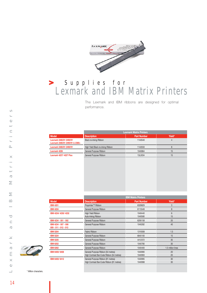

# Supplies for Lexmark and IBM Matrix Printers **>**

The Lexmark and IBM ribbons are designed for optimal performance.

|                                                            | <b>Lexmark Matrix Printers</b>    |                    |                |  |  |
|------------------------------------------------------------|-----------------------------------|--------------------|----------------|--|--|
| <b>Model</b>                                               | <b>Description</b>                | <b>Part Number</b> | Yield*         |  |  |
| Lexmark 2480/81 2490/91<br>Lexmark 2380/81 2390/91 & 2380+ | Black re-inking Ribbon            | 11A3540            | $\overline{4}$ |  |  |
| Lexmark 2480/81 2490/91                                    | High Yield Black re-inking Ribbon | 11A3550            | 8              |  |  |
| Lexmark 4226                                               | General Purpose Ribbon            | 1040864            | 15             |  |  |
| <b>Lexmark 4227/ 4227 Plus</b>                             | General Purpose Ribbon            | 13L0034            | 15             |  |  |
|                                                            |                                   |                    |                |  |  |

|                                                 | <b>IBM Matrix Printers</b>                                                      |                    |                   |  |  |
|-------------------------------------------------|---------------------------------------------------------------------------------|--------------------|-------------------|--|--|
| <b>Model</b>                                    | <b>Description</b>                                                              | <b>Part Number</b> | Yield*            |  |  |
| <b>IBM 4201</b>                                 | Proprinter <sup>™</sup> Ribbon                                                  | 6328829            | 3                 |  |  |
| <b>IBM 4224</b>                                 | General Purpose Ribbon                                                          | 6115549            | 8                 |  |  |
| IBM 4224/ 4230/ 4232                            | High Yield Ribbon<br>Auto-Inking Ribbon                                         | 1040440<br>1040580 | 6<br>15           |  |  |
| IBM 4234 - 001 - 002                            | General Purpose Ribbon                                                          | 6295158            | 20                |  |  |
| IBM 4234 - 007 - 008<br>$009 - 011 - 012 - 013$ | General Purpose Ribbon                                                          | 1040282            | 40                |  |  |
| <b>IBM 5204</b>                                 | <b>Fabric Ribbon</b>                                                            | 1319308            | 1.5               |  |  |
| <b>IBM 5224</b>                                 | General Purpose Ribbon                                                          | 6845100            | 15                |  |  |
| <b>IBM 5225</b>                                 | General Purpose Ribbon                                                          | 4412372            | 35                |  |  |
| <b>IBM 6252</b>                                 | General Purpose Ribbon                                                          | 1040780            | 30                |  |  |
| <b>IBM 6262</b>                                 | General Purpose Ribbon                                                          | 1040400            | 1.5 million lines |  |  |
| IBM 6400/6408                                   | General Purpose Ribbon (54 metres)<br>High Contrast Bar-Code Ribbon (54 metres) | 1040990<br>1040993 | 20<br>20          |  |  |
| IBM 6400/6412                                   | General Purpose Ribbon (91 metres)<br>High Contrast Bar-Code Ribbon (91 metres) | 1040995<br>1040998 | 30<br>30          |  |  |

\* Million characters.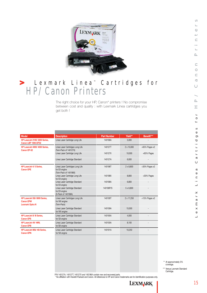

# Lexmark Linea ™ Cartridges for **>** HP/ Canon Printers

The right choice for your HP, Canon\* printers ! No compromise between cost and quality : with Lexmark Linea cartridges you get both !

| <b>Model</b>                                                                | <b>Description</b>                                                          | <b>Part Number</b> | Yield**          | Benefit***         |
|-----------------------------------------------------------------------------|-----------------------------------------------------------------------------|--------------------|------------------|--------------------|
| HP LaserJet 2100/2200 Series,<br>Canon LBP 1000-EP32                        | Linea Laser Cartridge Long Life                                             | 140196A            | 5,000            |                    |
| HP LaserJet 4000/4050 Series.<br>Canon EP-52                                | Linea Laser Cartridges Long Life<br>(Twin-Pack of 140127X)                  | 140127T            | 2 x 10.000       | $+65%$ Pages $x2$  |
|                                                                             | Linea Laser Cartridge Long Life                                             | 140127X            | 10,000           | +65% Pages         |
|                                                                             | Linea Laser Cartridge Standard                                              | 140127A            | 6,000            |                    |
| HP LaserJet 4/5 Series.<br><b>Canon EPE</b>                                 | Linea Laser Cartridges Long Life<br>for EX engine<br>(Twin-Pack of 140198X) | 140198T            | $2 \times 8.800$ | $+30\%$ Pages $x2$ |
|                                                                             | Linea Laser Cartridge Long Life<br>for EX engine                            | 140198X            | 8.800            | +30% Pages         |
|                                                                             | Linea Laser Cartridge Standard<br>for EX engine                             | 140198A            | 6.800            |                    |
|                                                                             | Linea Laser Cartridge Standard<br>for EX engine<br>(5-Pack of 140198A)      | 140198P/S          | $5 \times 6.800$ |                    |
| HP LaserJet 5Si/ 8000 Series,<br><b>Canon EPW</b><br><b>Lexmark Optra N</b> | Linea Laser Cartridges Long Life<br>for WX engine<br>(Twin-Pack)            | 140109T            | 2 x 17,250       | $+15%$ Pages $x2$  |
|                                                                             | Linea Laser Cartridge Standard<br>for WX engine                             | 140109A            | 15,000           |                    |
| HP LaserJet II/ III Series,<br><b>Canon EPS</b>                             | Linea Laser Cartridge Standard<br>for SX engine                             | 140195A            | 4.000            |                    |
| HP LaserJet 4V/4MV.<br><b>Canon EPB</b>                                     | Linea Laser Cartridge Standard<br>for BX engine                             | 140100A            | 8.100            |                    |
| <b>HP LaserJet IIISi/ 4Si Series.</b><br><b>Canon EPN</b>                   | Linea Laser Cartridge Standard<br>for NX engine                             | 140191A            | 10.250           |                    |
|                                                                             |                                                                             |                    |                  |                    |

\*\* At approximately 5% coverage.

\*\*\* Versus Lexmark Standard Cartridge.

P/N 140127A, 140127T, 140127X and 140196A contain new and recovered parts. \* No affiliation with Hewlett-Packard and Canon. All references to HP and Canon trademarks are for identification purposes only.

LEXMARK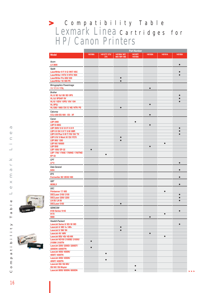# Compatibility Table **>** Lexmark Linea Cartridges for HP/ Canon Printers

|                                                  |           |              |               | Part Number |           |           |           |
|--------------------------------------------------|-----------|--------------|---------------|-------------|-----------|-----------|-----------|
| <b>Model</b>                                     | 140196A   | 140127T/27X/ | 140198A/ 98T/ | 140109T/    | 140100A   | 140191A   | 140195A   |
|                                                  |           | 27A          | 98X/98P/98S   | 140109A     |           |           |           |
| Acom                                             |           |              |               |             |           |           |           |
| LX 3808                                          |           |              |               |             |           |           | $\bullet$ |
| Apple                                            |           |              |               |             |           |           |           |
| LaserWriter II F/ II G/ IINT/ IISC               |           |              |               |             |           |           | $\bullet$ |
| LaserWriter I NTX/ II NTX/ IISX                  |           |              |               |             |           |           | $\bullet$ |
| LaserWriter Pro 600/630                          |           |              | $\bullet$     |             |           |           |           |
| LaserWriter 16/600 PS                            |           |              | $\bullet$     |             |           |           |           |
| <b>Birmygraphics Powerimage</b><br>11/17,11/17XL |           |              |               |             | $\bullet$ |           |           |
| <b>Brother</b><br>HL 8/8E/8J/8II/8D/8PS          |           |              |               |             |           |           | $\bullet$ |
| HL 8J/8PSAP/8V                                   |           |              |               |             |           |           | $\bullet$ |
| HL10/10DV/10PS/10V/10H                           |           |              |               |             |           |           | $\bullet$ |
| HL 8PSJ                                          |           |              |               |             | $\bullet$ |           |           |
| HL1260/ 1660/ DX/ E/ NE/ NTR/ PS                 |           |              | $\bullet$     |             |           |           |           |
| Calcomp                                          |           |              |               |             |           |           |           |
| CCL1200 ES/600 - ES - XF                         |           |              |               |             | $\bullet$ |           |           |
| Canon                                            |           |              |               |             |           |           |           |
| <b>LBP 2460</b>                                  |           |              |               | $\bullet$   |           |           |           |
| <b>LBP B 406G</b>                                |           |              |               |             | $\bullet$ |           |           |
| LBP 200V/8 II/8 II F/8 II R                      |           |              |               |             |           |           | $\bullet$ |
| LBP 8    SX/ 8    T/ 8    / 8   R                |           |              |               |             |           |           | $\bullet$ |
| LBP 8 III Plus/ 8 III T/ RX/ SX/ TX              |           |              |               |             |           |           | $\bullet$ |
| LBP 8 IV/ 8 Mark IV/ EX/ P270                    |           |              | $\bullet$     |             |           |           |           |
| LBP 860/1260                                     |           |              | $\bullet$     |             |           |           |           |
| LBP NX/ NX600                                    |           |              |               |             |           | $\bullet$ |           |
| <b>LBP BXII</b>                                  |           |              |               |             | $\bullet$ |           |           |
| LBP 1000/EP-32                                   | $\bullet$ |              |               |             |           |           |           |
| LBP 1760/ 1760E/ 1760NE/ 1760TNE/                |           | $\bullet$    |               |             |           |           |           |
| EP-52                                            |           |              |               |             |           |           |           |
| CPT                                              |           |              |               |             |           |           |           |
| LP <sub>8</sub>                                  |           |              |               |             |           |           | $\bullet$ |
| Data General                                     |           |              |               |             |           |           |           |
| 6454                                             |           |              |               |             |           |           | $\bullet$ |
| <b>EFS</b>                                       |           |              |               |             |           |           |           |
| Formwriter 2E/2EXD/MX                            |           |              |               |             |           |           | $\bullet$ |
| <b>GBT</b>                                       |           |              |               |             |           |           |           |
| 6636LX                                           |           |              |               |             |           |           | $\bullet$ |
| DEC                                              |           |              |               |             |           |           |           |
| Printserver 17/600                               |           |              |               |             |           | $\bullet$ |           |
| <b>DECLaser 2100/2150</b>                        |           |              |               |             |           |           | $\bullet$ |
| <b>DECLaser 2200/2250</b>                        |           |              |               |             |           |           | $\bullet$ |
| <b>LN 05/LN 06</b>                               |           |              |               |             |           |           | $\bullet$ |
| <b>DECLaser 5100</b>                             |           |              | $\bullet$     |             |           |           |           |
| <b>GENICOM</b>                                   |           |              |               |             |           |           |           |
| 6100 Series/ 6145                                |           |              |               |             |           |           | $\bullet$ |
| 9170                                             |           |              |               |             |           | $\bullet$ |           |
| 9080                                             |           |              |               |             | $\bullet$ |           |           |
| Hewlett-Packard                                  |           |              |               |             |           |           |           |
| LaserJet Series II/ IID/ III/ IIID               |           |              |               |             |           |           | $\bullet$ |
| LaserJet 4/ 4M/ 4+/ 4M+                          |           |              | $\bullet$     |             |           |           |           |
| LaserJet 5/5M/5N                                 |           |              | $\bullet$     |             |           |           |           |
| LaserJet 4V/4MV                                  |           |              |               |             | $\bullet$ |           |           |
| LaserJet IIISi/ 4Si/ 4Si MX                      |           |              |               |             |           | $\bullet$ |           |
| LaserJet N2100/ 2100SE/ 2100XI/                  |           |              |               |             |           |           |           |
| 2100M/2100TN                                     | $\bullet$ |              |               |             |           |           |           |
| LaserJet 2200/ 2200D/ 2200DT/                    |           |              |               |             |           |           |           |
| 2200DN/2200DTN                                   |           |              |               |             |           |           |           |
| LaserJet 4000/ 4000N/                            |           |              |               |             |           |           |           |
| 4000T/4000TN                                     |           | $\bullet$    |               |             |           |           |           |
| LaserJet 4050/4050N/                             |           | $\bullet$    |               |             |           |           |           |
| 4050T/4050TN                                     |           |              |               |             |           |           |           |
| LaserJet 5Si/ 5Si MX/                            |           |              |               | $\bullet$   |           |           |           |
| 5Si NX/5Si Mopier                                |           |              |               |             |           |           |           |
| LaserJet 8000/8000N/8000DN                       |           |              |               | $\bullet$   |           |           |           |

 $\mathbf{\overline{d}}$ 



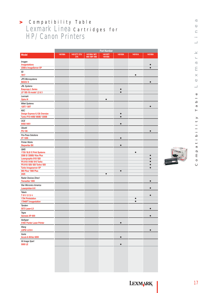# Compatibility Table Lexmark Linea Cartridges for HP/ Canon Printers **>**

|                                                              | <b>Part Number</b> |                     |                              |                     |                        |           |                        |
|--------------------------------------------------------------|--------------------|---------------------|------------------------------|---------------------|------------------------|-----------|------------------------|
| <b>Model</b>                                                 | 140196A            | 140127T/27X/<br>27A | 140198A/ 98T/<br>98X/98P/98S | 140109T/<br>140109A | 140100A                | 140191A   | 140195A                |
| Imagen                                                       |                    |                     |                              |                     |                        |           |                        |
| <b>Imagestations</b>                                         |                    |                     |                              |                     |                        |           | $\bullet$              |
| 2308/s ImageServer XP                                        |                    |                     |                              |                     |                        |           | $\bullet$              |
| <b>ISI</b><br>7817                                           |                    |                     |                              |                     |                        | $\bullet$ |                        |
| <b>JPS Microsystems</b><br>MAXX/8                            |                    |                     |                              |                     |                        |           | $\bullet$              |
| <b>JRL Systems</b>                                           |                    |                     |                              |                     |                        |           |                        |
| <b>Easycopy L Series</b><br>LP 180-16 model 1,2 & 3          |                    |                     |                              |                     | $\bullet$<br>$\bullet$ |           |                        |
| Lexmark                                                      |                    |                     |                              |                     |                        |           |                        |
| <b>Optra N</b>                                               |                    |                     |                              | $\bullet$           |                        |           |                        |
| <b>Mitek Systems</b><br>125T/130T                            |                    |                     |                              |                     |                        |           | $\bullet$              |
| <b>NSC</b>                                                   |                    |                     |                              |                     |                        |           |                        |
| Design Express 6,12& Oversize<br>Turbo P/S 440B/ 660B/ 1200B |                    |                     |                              |                     | $\bullet$<br>$\bullet$ |           |                        |
| <b>OCE</b>                                                   |                    |                     |                              |                     |                        |           |                        |
| 6450/6451<br>Olivetti                                        |                    |                     |                              |                     | $\bullet$              |           |                        |
| <b>PG 108</b>                                                |                    |                     |                              |                     |                        |           | $\bullet$              |
| <b>Pre-Press Solutions</b><br><b>VT 1200</b>                 |                    |                     |                              |                     | $\bullet$              |           |                        |
| <b>Printer Works</b>                                         |                    |                     |                              |                     | $\bullet$              |           |                        |
| <b>Stepwriter BX</b><br>QMS                                  |                    |                     |                              |                     |                        |           |                        |
| 1725/ SLS/ E Print Systems                                   |                    |                     |                              |                     |                        | $\bullet$ |                        |
| 2308 S/ 3308S/ Kiss Plus<br>Lasergraphix 810/820             |                    |                     |                              |                     |                        |           | $\bullet$<br>$\bullet$ |
| PS 810/810II/810 Turbo                                       |                    |                     |                              |                     |                        |           | $\bullet$              |
| PS 815/820/820 Turbo/825                                     |                    |                     |                              |                     |                        |           | $\bullet$<br>$\bullet$ |
| <b>Turbo Imageserver XP</b><br>860 Plus/ 1660 Plus           |                    |                     |                              |                     | $\bullet$              |           |                        |
| 2425                                                         |                    |                     |                              | $\bullet$           |                        |           |                        |
| <b>Raster Devices Direct</b><br>Trensetter 1000              |                    |                     |                              |                     |                        |           | $\bullet$              |
| <b>Star Micronics America</b><br>Laserprinter-8-II           |                    |                     |                              |                     |                        |           |                        |
| <b>Talaris</b>                                               |                    |                     |                              |                     |                        |           |                        |
| T 811/2/3/4<br><b>1794 Printstation</b>                      |                    |                     |                              |                     |                        | $\bullet$ | ●                      |
| 17946FT Imagestation                                         |                    |                     |                              |                     |                        | $\bullet$ |                        |
| Tandem<br>5573 Laser-LX                                      |                    |                     |                              |                     |                        |           | $\bullet$              |
| Tegra<br>Genesis XP-800                                      |                    |                     |                              |                     |                        |           | $\bullet$              |
| Varityper                                                    |                    |                     |                              |                     |                        |           |                        |
| 5160/ Panter Laser Printer<br>Wang                           |                    |                     |                              |                     | $\bullet$              |           |                        |
| LDP8/LCS8                                                    |                    |                     |                              |                     |                        |           | $\bullet$              |
| Xante<br>Accel-A-Writer 8200                                 |                    |                     |                              |                     | $\bullet$              |           |                        |
| Xii Image Xpert<br>5000 LE                                   |                    |                     |                              |                     | $\bullet$              |           |                        |
|                                                              |                    |                     |                              |                     |                        |           |                        |
|                                                              |                    |                     |                              |                     |                        |           |                        |
|                                                              |                    |                     |                              |                     |                        |           |                        |
|                                                              |                    |                     |                              |                     |                        |           |                        |

 $\cup$ 

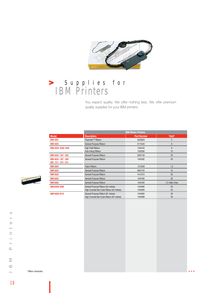

# Supplies for IBM Printers **>**

You expect quality. We offer nothing less. We offer premium quality supplies for your IBM printers.

|                     |                                                 | <b>IBM Matrix Printers</b>                                                      |                    |                      |  |
|---------------------|-------------------------------------------------|---------------------------------------------------------------------------------|--------------------|----------------------|--|
|                     | <b>Model</b>                                    | <b>Description</b>                                                              | <b>Part Number</b> | Yield*               |  |
|                     | <b>IBM 4201</b>                                 | Proprinter <sup>™</sup> Ribbon                                                  | 6328829            | $\sqrt{3}$           |  |
|                     | <b>IBM 4224</b>                                 | General Purpose Ribbon                                                          | 6115549            | $\,8\,$              |  |
|                     | IBM 4224/4230/4232                              | High Yield Ribbon<br>Auto-Inking Ribbon                                         | 1040440<br>1040580 | $6\phantom{1}$<br>15 |  |
|                     | IBM 4234 - 001 - 002                            | General Purpose Ribbon                                                          | 6295158            | 20                   |  |
|                     | IBM 4234 - 007 - 008<br>$009 - 011 - 012 - 013$ | General Purpose Ribbon                                                          | 1040282            | 40                   |  |
|                     | <b>IBM 5204</b>                                 | Fabric Ribbon                                                                   | 1319308            | 1.5                  |  |
|                     | <b>IBM 5224</b>                                 | General Purpose Ribbon                                                          | 6845100            | 15                   |  |
|                     | <b>IBM 5225</b>                                 | General Purpose Ribbon                                                          | 4412372            | 35                   |  |
|                     | <b>IBM 6252</b>                                 | General Purpose Ribbon                                                          | 1040780            | 30                   |  |
|                     | <b>IBM 6262</b>                                 | General Purpose Ribbon                                                          | 1040400            | 1.5 million lines    |  |
|                     | IBM 6400/6408                                   | General Purpose Ribbon (54 metres)<br>High Contrast Bar-Code Ribbon (54 metres) | 1040990<br>1040993 | 20<br>20             |  |
|                     |                                                 | High Contrast Bar-Code Ribbon (91 metres)                                       | 1040998            | 30                   |  |
| Million characters. |                                                 |                                                                                 |                    |                      |  |

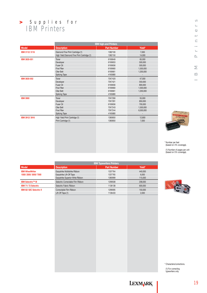# Supplies for IBM Printers **>**

|                 | <b>IBM high-end Printers</b>                |                    |                              |
|-----------------|---------------------------------------------|--------------------|------------------------------|
| <b>Model</b>    | <b>Description</b>                          | <b>Part Number</b> | Yield*                       |
| IBM 3112/3116   | Diamond Fine Print Cartridge (1)            | 1382100            | 7,000                        |
|                 | High Yield Diamond Fine Print Cartridge (1) | 1382150            | 14,000                       |
| IBM 3835-001    | Toner                                       | 6190649            | 65,000                       |
|                 | Developer                                   | 6190653            | 500,000                      |
|                 | Fuser Oil                                   | 6190656            | 500,000                      |
|                 | Fine Filter                                 | 6190660            | 1,500,000                    |
|                 | Oiler Belt                                  | 6190661            | 1,200,000                    |
|                 | <b>Splicing Tape</b>                        | 4165880            | $\overline{\phantom{a}}$     |
| IBM 3835-002    | Toner                                       | 70X7420            | 47,000                       |
|                 | Developer                                   | 70X7421            | 550,000                      |
|                 | Fuser Oil                                   | 6190656            | 800,000                      |
|                 | Fine Filter                                 | 6190660            | 1,500,000                    |
|                 | Oiler Belt                                  | 6190661            | 1,200,000                    |
|                 | <b>Splicing Tape</b>                        | 4165880            | $\overline{\phantom{m}}$     |
| <b>IBM 3900</b> | Toner                                       | 70X7280            | 55,000                       |
|                 | Developer                                   | 70X7281            | 850,000                      |
|                 | Fuser Oil                                   | 6190656            | 700,000                      |
|                 | Oiler Belt                                  | 70X7243            | 1,500,000                    |
|                 | Fine Filter                                 | 70X7244            | 6,500,000                    |
|                 | <b>Splicing Tape</b>                        | 4165880            | $\qquad \qquad \blacksquare$ |
| IBM 3912/3916   | High Yield Print Cartridge (1)              | 1380850            | 12,800                       |
|                 | Print Cartridge (1)                         | 1380850            | 7,000                        |
|                 |                                             |                    |                              |
|                 |                                             |                    |                              |
|                 |                                             |                    |                              |
|                 |                                             |                    |                              |
|                 |                                             |                    |                              |
|                 |                                             |                    |                              |
|                 |                                             |                    |                              |
|                 |                                             |                    |                              |



\* Number per feet (based on 4% coverage).

(1) Number of pages per unit (based on 5% coverage).

|                           | <b>IBM Typewriters Printers</b>   |                    |         |  |  |
|---------------------------|-----------------------------------|--------------------|---------|--|--|
| <b>Model</b>              | <b>Description</b>                | <b>Part Number</b> | Yield*  |  |  |
| <b>IBM WheelWriter</b>    | Easystrike Multistrike Ribbon     | 1337764            | 440,000 |  |  |
| 1500/2500/3000/7000       | Easystrike Lift-Off Tape          | 1337765            | 6.000   |  |  |
|                           | Easystrike Superior Write Ribbon  | 1380999            | 115,000 |  |  |
| <b>IBM Selectric™ III</b> | Selectric Correctable Film Ribbon | 1299508            | 208,000 |  |  |
| IBM 71/72 Selectric       | Selectric Fabric Ribbon           | 1136138            | 600,000 |  |  |
| IBM 82/82C Selectric II   | Correctable Film Ribbon           | 1299095            | 150,000 |  |  |
|                           | Lift-Off Tape (1)                 | 1136433            | 2.000   |  |  |



\* Characters/corrections.

(1) For correcting typewriters only.

 $\frac{1}{2}$